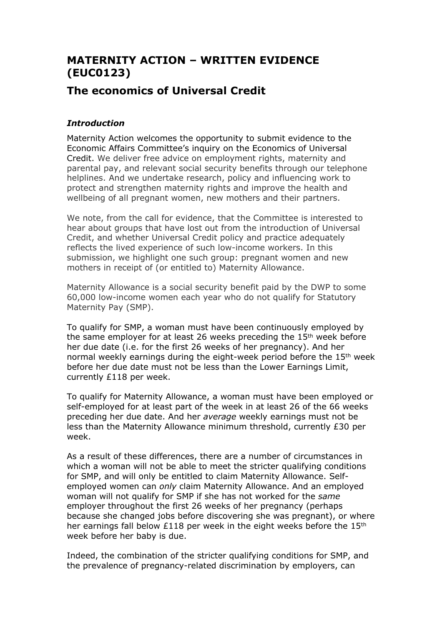# **MATERNITY ACTION – WRITTEN EVIDENCE (EUC0123)**

## **The economics of Universal Credit**

## *Introduction*

Maternity Action welcomes the opportunity to submit evidence to the Economic Affairs Committee's inquiry on the Economics of Universal Credit. We deliver free advice on employment rights, maternity and parental pay, and relevant social security benefits through our telephone helplines. And we undertake research, policy and influencing work to protect and strengthen maternity rights and improve the health and wellbeing of all pregnant women, new mothers and their partners.

We note, from the call for evidence, that the Committee is interested to hear about groups that have lost out from the introduction of Universal Credit, and whether Universal Credit policy and practice adequately reflects the lived experience of such low-income workers. In this submission, we highlight one such group: pregnant women and new mothers in receipt of (or entitled to) Maternity Allowance.

Maternity Allowance is a social security benefit paid by the DWP to some 60,000 low-income women each year who do not qualify for Statutory Maternity Pay (SMP).

To qualify for SMP, a woman must have been continuously employed by the same employer for at least 26 weeks preceding the 15<sup>th</sup> week before her due date (i.e. for the first 26 weeks of her pregnancy). And her normal weekly earnings during the eight-week period before the 15th week before her due date must not be less than the Lower Earnings Limit, currently £118 per week.

To qualify for Maternity Allowance, a woman must have been employed or self-employed for at least part of the week in at least 26 of the 66 weeks preceding her due date. And her *average* weekly earnings must not be less than the Maternity Allowance minimum threshold, currently £30 per week.

As a result of these differences, there are a number of circumstances in which a woman will not be able to meet the stricter qualifying conditions for SMP, and will only be entitled to claim Maternity Allowance. Selfemployed women can *only* claim Maternity Allowance. And an employed woman will not qualify for SMP if she has not worked for the *same* employer throughout the first 26 weeks of her pregnancy (perhaps because she changed jobs before discovering she was pregnant), or where her earnings fall below £118 per week in the eight weeks before the 15<sup>th</sup> week before her baby is due.

Indeed, the combination of the stricter qualifying conditions for SMP, and the prevalence of pregnancy-related discrimination by employers, can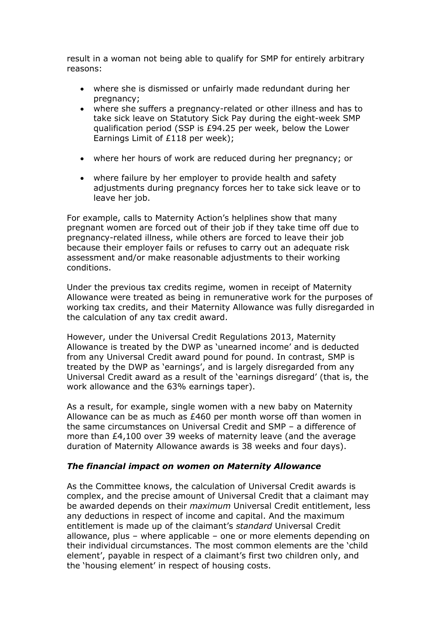result in a woman not being able to qualify for SMP for entirely arbitrary reasons:

- where she is dismissed or unfairly made redundant during her pregnancy;
- where she suffers a pregnancy-related or other illness and has to take sick leave on Statutory Sick Pay during the eight-week SMP qualification period (SSP is £94.25 per week, below the Lower Earnings Limit of £118 per week);
- where her hours of work are reduced during her pregnancy; or
- where failure by her employer to provide health and safety adjustments during pregnancy forces her to take sick leave or to leave her job.

For example, calls to Maternity Action's helplines show that many pregnant women are forced out of their job if they take time off due to pregnancy-related illness, while others are forced to leave their job because their employer fails or refuses to carry out an adequate risk assessment and/or make reasonable adjustments to their working conditions.

Under the previous tax credits regime, women in receipt of Maternity Allowance were treated as being in remunerative work for the purposes of working tax credits, and their Maternity Allowance was fully disregarded in the calculation of any tax credit award.

However, under the Universal Credit Regulations 2013, Maternity Allowance is treated by the DWP as 'unearned income' and is deducted from any Universal Credit award pound for pound. In contrast, SMP is treated by the DWP as 'earnings', and is largely disregarded from any Universal Credit award as a result of the 'earnings disregard' (that is, the work allowance and the 63% earnings taper).

As a result, for example, single women with a new baby on Maternity Allowance can be as much as £460 per month worse off than women in the same circumstances on Universal Credit and SMP – a difference of more than £4,100 over 39 weeks of maternity leave (and the average duration of Maternity Allowance awards is 38 weeks and four days).

### *The financial impact on women on Maternity Allowance*

As the Committee knows, the calculation of Universal Credit awards is complex, and the precise amount of Universal Credit that a claimant may be awarded depends on their *maximum* Universal Credit entitlement, less any deductions in respect of income and capital. And the maximum entitlement is made up of the claimant's *standard* Universal Credit allowance, plus – where applicable – one or more elements depending on their individual circumstances. The most common elements are the 'child element', payable in respect of a claimant's first two children only, and the 'housing element' in respect of housing costs.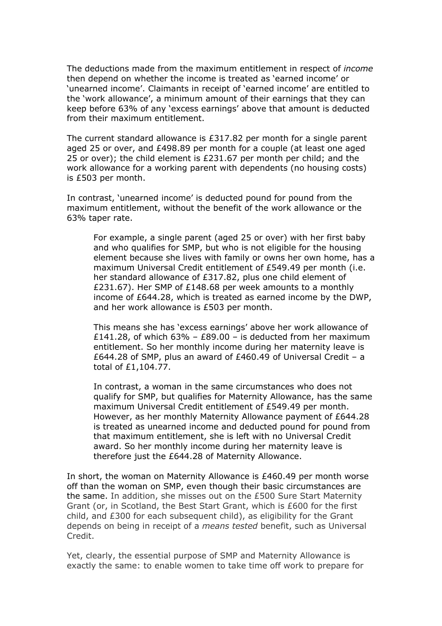The deductions made from the maximum entitlement in respect of *income* then depend on whether the income is treated as 'earned income' or 'unearned income'. Claimants in receipt of 'earned income' are entitled to the 'work allowance', a minimum amount of their earnings that they can keep before 63% of any 'excess earnings' above that amount is deducted from their maximum entitlement.

The current standard allowance is £317.82 per month for a single parent aged 25 or over, and £498.89 per month for a couple (at least one aged 25 or over); the child element is £231.67 per month per child; and the work allowance for a working parent with dependents (no housing costs) is £503 per month.

In contrast, 'unearned income' is deducted pound for pound from the maximum entitlement, without the benefit of the work allowance or the 63% taper rate.

For example, a single parent (aged 25 or over) with her first baby and who qualifies for SMP, but who is not eligible for the housing element because she lives with family or owns her own home, has a maximum Universal Credit entitlement of £549.49 per month (i.e. her standard allowance of £317.82, plus one child element of £231.67). Her SMP of £148.68 per week amounts to a monthly income of £644.28, which is treated as earned income by the DWP, and her work allowance is £503 per month.

This means she has 'excess earnings' above her work allowance of £141.28, of which  $63\%$  – £89.00 – is deducted from her maximum entitlement. So her monthly income during her maternity leave is £644.28 of SMP, plus an award of £460.49 of Universal Credit – a total of £1,104.77.

In contrast, a woman in the same circumstances who does not qualify for SMP, but qualifies for Maternity Allowance, has the same maximum Universal Credit entitlement of £549.49 per month. However, as her monthly Maternity Allowance payment of £644.28 is treated as unearned income and deducted pound for pound from that maximum entitlement, she is left with no Universal Credit award. So her monthly income during her maternity leave is therefore just the £644.28 of Maternity Allowance.

In short, the woman on Maternity Allowance is £460.49 per month worse off than the woman on SMP, even though their basic circumstances are the same. In addition, she misses out on the £500 Sure Start Maternity Grant (or, in Scotland, the Best Start Grant, which is £600 for the first child, and £300 for each subsequent child), as eligibility for the Grant depends on being in receipt of a *means tested* benefit, such as Universal Credit.

Yet, clearly, the essential purpose of SMP and Maternity Allowance is exactly the same: to enable women to take time off work to prepare for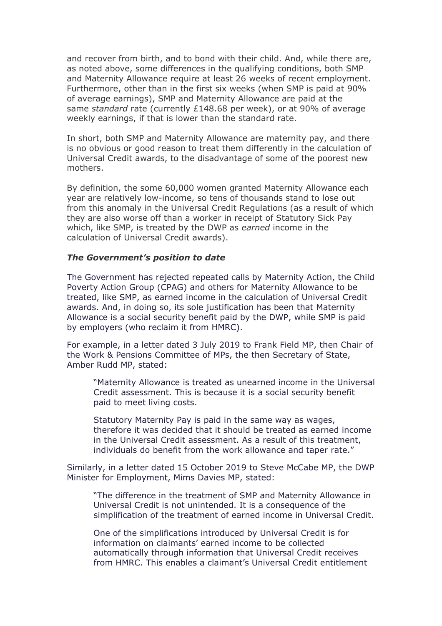and recover from birth, and to bond with their child. And, while there are, as noted above, some differences in the qualifying conditions, both SMP and Maternity Allowance require at least 26 weeks of recent employment. Furthermore, other than in the first six weeks (when SMP is paid at 90% of average earnings), SMP and Maternity Allowance are paid at the same *standard* rate (currently £148.68 per week), or at 90% of average weekly earnings, if that is lower than the standard rate.

In short, both SMP and Maternity Allowance are maternity pay, and there is no obvious or good reason to treat them differently in the calculation of Universal Credit awards, to the disadvantage of some of the poorest new mothers.

By definition, the some 60,000 women granted Maternity Allowance each year are relatively low-income, so tens of thousands stand to lose out from this anomaly in the Universal Credit Regulations (as a result of which they are also worse off than a worker in receipt of Statutory Sick Pay which, like SMP, is treated by the DWP as *earned* income in the calculation of Universal Credit awards).

#### *The Government's position to date*

The Government has rejected repeated calls by Maternity Action, the Child Poverty Action Group (CPAG) and others for Maternity Allowance to be treated, like SMP, as earned income in the calculation of Universal Credit awards. And, in doing so, its sole justification has been that Maternity Allowance is a social security benefit paid by the DWP, while SMP is paid by employers (who reclaim it from HMRC).

For example, in a letter dated 3 July 2019 to Frank Field MP, then Chair of the Work & Pensions Committee of MPs, the then Secretary of State, Amber Rudd MP, stated:

"Maternity Allowance is treated as unearned income in the Universal Credit assessment. This is because it is a social security benefit paid to meet living costs.

Statutory Maternity Pay is paid in the same way as wages, therefore it was decided that it should be treated as earned income in the Universal Credit assessment. As a result of this treatment, individuals do benefit from the work allowance and taper rate."

Similarly, in a letter dated 15 October 2019 to Steve McCabe MP, the DWP Minister for Employment, Mims Davies MP, stated:

"The difference in the treatment of SMP and Maternity Allowance in Universal Credit is not unintended. It is a consequence of the simplification of the treatment of earned income in Universal Credit.

One of the simplifications introduced by Universal Credit is for information on claimants' earned income to be collected automatically through information that Universal Credit receives from HMRC. This enables a claimant's Universal Credit entitlement